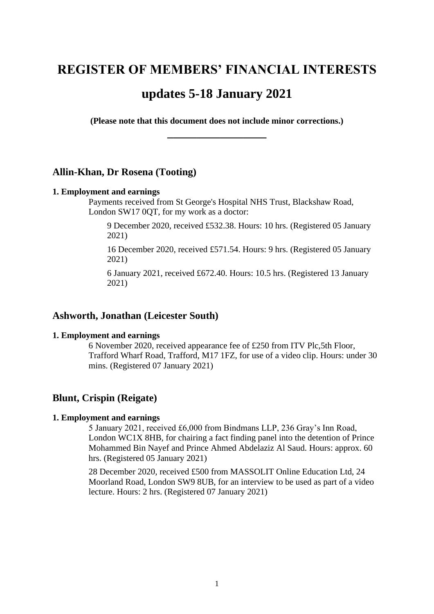# **REGISTER OF MEMBERS' FINANCIAL INTERESTS**

# **updates 5-18 January 2021**

**(Please note that this document does not include minor corrections.) \_\_\_\_\_\_\_\_\_\_\_\_\_\_\_\_\_**

## **Allin-Khan, Dr Rosena (Tooting)**

#### **1. Employment and earnings**

Payments received from St George's Hospital NHS Trust, Blackshaw Road, London SW17 0QT, for my work as a doctor:

9 December 2020, received £532.38. Hours: 10 hrs. (Registered 05 January 2021)

16 December 2020, received £571.54. Hours: 9 hrs. (Registered 05 January 2021)

6 January 2021, received £672.40. Hours: 10.5 hrs. (Registered 13 January 2021)

# **Ashworth, Jonathan (Leicester South)**

### **1. Employment and earnings**

6 November 2020, received appearance fee of £250 from ITV Plc,5th Floor, Trafford Wharf Road, Trafford, M17 1FZ, for use of a video clip. Hours: under 30 mins. (Registered 07 January 2021)

### **Blunt, Crispin (Reigate)**

#### **1. Employment and earnings**

5 January 2021, received £6,000 from Bindmans LLP, 236 Gray's Inn Road, London WC1X 8HB, for chairing a fact finding panel into the detention of Prince Mohammed Bin Nayef and Prince Ahmed Abdelaziz Al Saud. Hours: approx. 60 hrs. (Registered 05 January 2021)

28 December 2020, received £500 from MASSOLIT Online Education Ltd, 24 Moorland Road, London SW9 8UB, for an interview to be used as part of a video lecture. Hours: 2 hrs. (Registered 07 January 2021)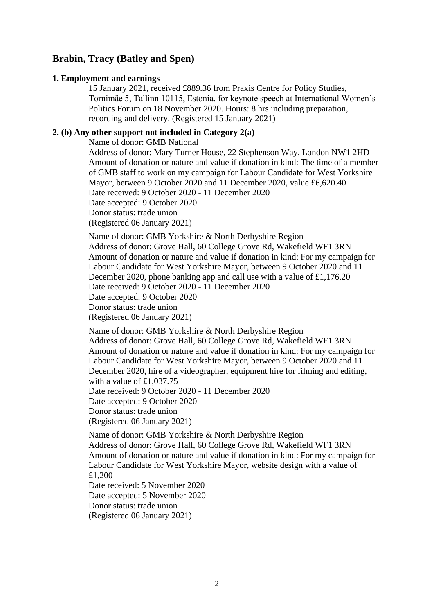# **Brabin, Tracy (Batley and Spen)**

### **1. Employment and earnings**

15 January 2021, received £889.36 from Praxis Centre for Policy Studies, Tornimäe 5, Tallinn 10115, Estonia, for keynote speech at International Women's Politics Forum on 18 November 2020. Hours: 8 hrs including preparation, recording and delivery. (Registered 15 January 2021)

# **2. (b) Any other support not included in Category 2(a)**

Name of donor: GMB National

Address of donor: Mary Turner House, 22 Stephenson Way, London NW1 2HD Amount of donation or nature and value if donation in kind: The time of a member of GMB staff to work on my campaign for Labour Candidate for West Yorkshire Mayor, between 9 October 2020 and 11 December 2020, value £6,620.40 Date received: 9 October 2020 - 11 December 2020 Date accepted: 9 October 2020 Donor status: trade union (Registered 06 January 2021)

Name of donor: GMB Yorkshire & North Derbyshire Region Address of donor: Grove Hall, 60 College Grove Rd, Wakefield WF1 3RN Amount of donation or nature and value if donation in kind: For my campaign for Labour Candidate for West Yorkshire Mayor, between 9 October 2020 and 11 December 2020, phone banking app and call use with a value of £1,176.20 Date received: 9 October 2020 - 11 December 2020 Date accepted: 9 October 2020 Donor status: trade union (Registered 06 January 2021)

Name of donor: GMB Yorkshire & North Derbyshire Region Address of donor: Grove Hall, 60 College Grove Rd, Wakefield WF1 3RN Amount of donation or nature and value if donation in kind: For my campaign for Labour Candidate for West Yorkshire Mayor, between 9 October 2020 and 11 December 2020, hire of a videographer, equipment hire for filming and editing, with a value of £1,037.75

Date received: 9 October 2020 - 11 December 2020

Date accepted: 9 October 2020

Donor status: trade union

(Registered 06 January 2021)

Name of donor: GMB Yorkshire & North Derbyshire Region Address of donor: Grove Hall, 60 College Grove Rd, Wakefield WF1 3RN Amount of donation or nature and value if donation in kind: For my campaign for Labour Candidate for West Yorkshire Mayor, website design with a value of £1,200

Date received: 5 November 2020 Date accepted: 5 November 2020 Donor status: trade union (Registered 06 January 2021)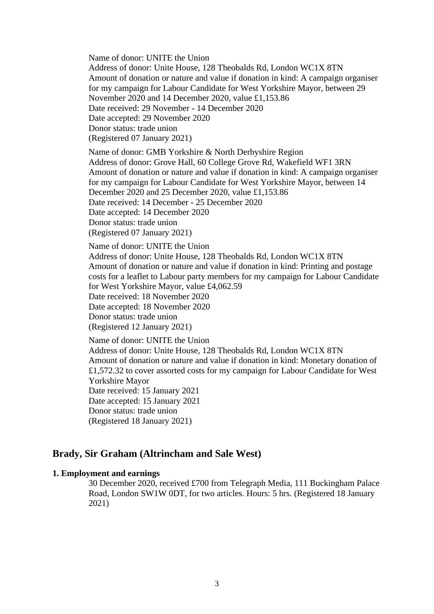Name of donor: UNITE the Union

Address of donor: Unite House, 128 Theobalds Rd, London WC1X 8TN Amount of donation or nature and value if donation in kind: A campaign organiser for my campaign for Labour Candidate for West Yorkshire Mayor, between 29 November 2020 and 14 December 2020, value £1,153.86 Date received: 29 November - 14 December 2020 Date accepted: 29 November 2020 Donor status: trade union (Registered 07 January 2021)

Name of donor: GMB Yorkshire & North Derbyshire Region

Address of donor: Grove Hall, 60 College Grove Rd, Wakefield WF1 3RN Amount of donation or nature and value if donation in kind: A campaign organiser for my campaign for Labour Candidate for West Yorkshire Mayor, between 14 December 2020 and 25 December 2020, value £1,153.86 Date received: 14 December - 25 December 2020 Date accepted: 14 December 2020

Donor status: trade union

(Registered 07 January 2021)

Name of donor: UNITE the Union

Address of donor: Unite House, 128 Theobalds Rd, London WC1X 8TN Amount of donation or nature and value if donation in kind: Printing and postage costs for a leaflet to Labour party members for my campaign for Labour Candidate for West Yorkshire Mayor, value £4,062.59

Date received: 18 November 2020

Date accepted: 18 November 2020

Donor status: trade union

(Registered 12 January 2021)

Name of donor: UNITE the Union Address of donor: Unite House, 128 Theobalds Rd, London WC1X 8TN Amount of donation or nature and value if donation in kind: Monetary donation of £1,572.32 to cover assorted costs for my campaign for Labour Candidate for West Yorkshire Mayor Date received: 15 January 2021 Date accepted: 15 January 2021 Donor status: trade union (Registered 18 January 2021)

# **Brady, Sir Graham (Altrincham and Sale West)**

### **1. Employment and earnings**

30 December 2020, received £700 from Telegraph Media, 111 Buckingham Palace Road, London SW1W 0DT, for two articles. Hours: 5 hrs. (Registered 18 January 2021)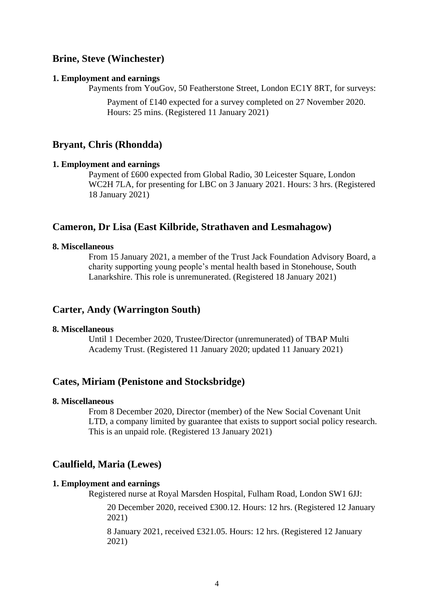# **Brine, Steve (Winchester)**

#### **1. Employment and earnings**

Payments from YouGov, 50 Featherstone Street, London EC1Y 8RT, for surveys:

Payment of £140 expected for a survey completed on 27 November 2020. Hours: 25 mins. (Registered 11 January 2021)

### **Bryant, Chris (Rhondda)**

#### **1. Employment and earnings**

Payment of £600 expected from Global Radio, 30 Leicester Square, London WC2H 7LA, for presenting for LBC on 3 January 2021. Hours: 3 hrs. (Registered 18 January 2021)

### **Cameron, Dr Lisa (East Kilbride, Strathaven and Lesmahagow)**

# **8. Miscellaneous**

From 15 January 2021, a member of the Trust Jack Foundation Advisory Board, a charity supporting young people's mental health based in Stonehouse, South Lanarkshire. This role is unremunerated. (Registered 18 January 2021)

### **Carter, Andy (Warrington South)**

#### **8. Miscellaneous**

Until 1 December 2020, Trustee/Director (unremunerated) of TBAP Multi Academy Trust. (Registered 11 January 2020; updated 11 January 2021)

# **Cates, Miriam (Penistone and Stocksbridge)**

### **8. Miscellaneous**

From 8 December 2020, Director (member) of the New Social Covenant Unit LTD, a company limited by guarantee that exists to support social policy research. This is an unpaid role. (Registered 13 January 2021)

# **Caulfield, Maria (Lewes)**

#### **1. Employment and earnings**

Registered nurse at Royal Marsden Hospital, Fulham Road, London SW1 6JJ:

20 December 2020, received £300.12. Hours: 12 hrs. (Registered 12 January 2021)

8 January 2021, received £321.05. Hours: 12 hrs. (Registered 12 January 2021)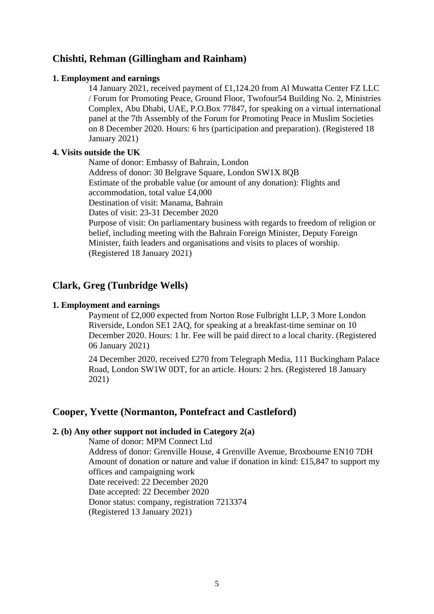# **Chishti, Rehman (Gillingham and Rainham)**

### **1. Employment and earnings**

14 January 2021, received payment of £1,124.20 from Al Muwatta Center FZ LLC / Forum for Promoting Peace, Ground Floor, Twofour54 Building No. 2, Ministries Complex, Abu Dhabi, UAE, P.O.Box 77847, for speaking on a virtual international panel at the 7th Assembly of the Forum for Promoting Peace in Muslim Societies on 8 December 2020. Hours: 6 hrs (participation and preparation). (Registered 18 January 2021)

## **4. Visits outside the UK**

Name of donor: Embassy of Bahrain, London Address of donor: 30 Belgrave Square, London SW1X 8QB Estimate of the probable value (or amount of any donation): Flights and accommodation, total value £4,000 Destination of visit: Manama, Bahrain Dates of visit: 23-31 December 2020 Purpose of visit: On parliamentary business with regards to freedom of religion or belief, including meeting with the Bahrain Foreign Minister, Deputy Foreign Minister, faith leaders and organisations and visits to places of worship. (Registered 18 January 2021)

# **Clark, Greg (Tunbridge Wells)**

### **1. Employment and earnings**

Payment of £2,000 expected from Norton Rose Fulbright LLP, 3 More London Riverside, London SE1 2AQ, for speaking at a breakfast-time seminar on 10 December 2020. Hours: 1 hr. Fee will be paid direct to a local charity. (Registered 06 January 2021)

24 December 2020, received £270 from Telegraph Media, 111 Buckingham Palace Road, London SW1W 0DT, for an article. Hours: 2 hrs. (Registered 18 January 2021)

# **Cooper, Yvette (Normanton, Pontefract and Castleford)**

### **2. (b) Any other support not included in Category 2(a)**

Name of donor: MPM Connect Ltd Address of donor: Grenville House, 4 Grenville Avenue, Broxbourne EN10 7DH Amount of donation or nature and value if donation in kind: £15,847 to support my offices and campaigning work Date received: 22 December 2020 Date accepted: 22 December 2020 Donor status: company, registration 7213374 (Registered 13 January 2021)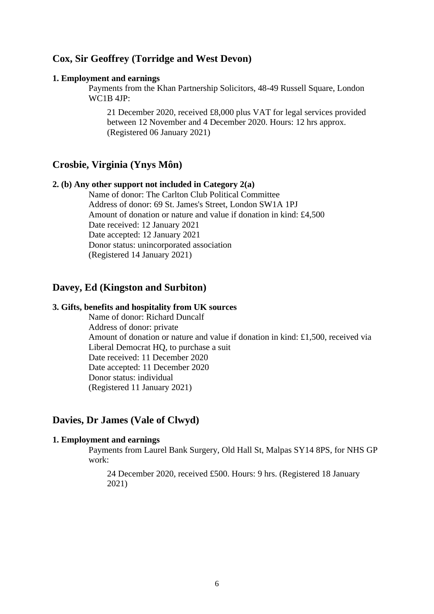# **Cox, Sir Geoffrey (Torridge and West Devon)**

#### **1. Employment and earnings**

Payments from the Khan Partnership Solicitors, 48-49 Russell Square, London WC1B 4JP:

21 December 2020, received £8,000 plus VAT for legal services provided between 12 November and 4 December 2020. Hours: 12 hrs approx. (Registered 06 January 2021)

# **Crosbie, Virginia (Ynys Môn)**

### **2. (b) Any other support not included in Category 2(a)**

Name of donor: The Carlton Club Political Committee Address of donor: 69 St. James's Street, London SW1A 1PJ Amount of donation or nature and value if donation in kind: £4,500 Date received: 12 January 2021 Date accepted: 12 January 2021 Donor status: unincorporated association (Registered 14 January 2021)

# **Davey, Ed (Kingston and Surbiton)**

# **3. Gifts, benefits and hospitality from UK sources**

Name of donor: Richard Duncalf Address of donor: private Amount of donation or nature and value if donation in kind: £1,500, received via Liberal Democrat HQ, to purchase a suit Date received: 11 December 2020 Date accepted: 11 December 2020 Donor status: individual (Registered 11 January 2021)

# **Davies, Dr James (Vale of Clwyd)**

#### **1. Employment and earnings**

Payments from Laurel Bank Surgery, Old Hall St, Malpas SY14 8PS, for NHS GP work:

24 December 2020, received £500. Hours: 9 hrs. (Registered 18 January 2021)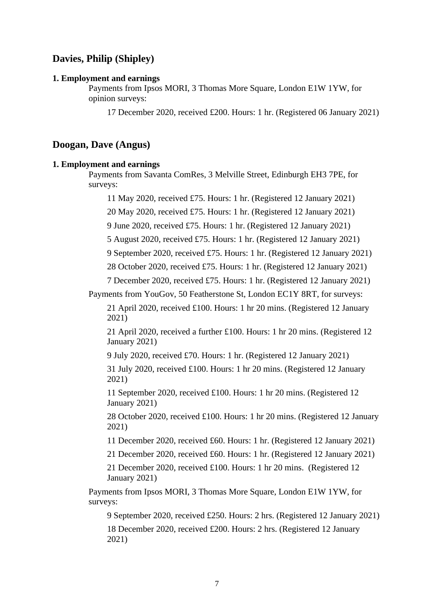# **Davies, Philip (Shipley)**

#### **1. Employment and earnings**

Payments from Ipsos MORI, 3 Thomas More Square, London E1W 1YW, for opinion surveys:

17 December 2020, received £200. Hours: 1 hr. (Registered 06 January 2021)

### **Doogan, Dave (Angus)**

#### **1. Employment and earnings**

Payments from Savanta ComRes, 3 Melville Street, Edinburgh EH3 7PE, for surveys:

11 May 2020, received £75. Hours: 1 hr. (Registered 12 January 2021)

20 May 2020, received £75. Hours: 1 hr. (Registered 12 January 2021)

9 June 2020, received £75. Hours: 1 hr. (Registered 12 January 2021)

5 August 2020, received £75. Hours: 1 hr. (Registered 12 January 2021)

9 September 2020, received £75. Hours: 1 hr. (Registered 12 January 2021)

28 October 2020, received £75. Hours: 1 hr. (Registered 12 January 2021)

7 December 2020, received £75. Hours: 1 hr. (Registered 12 January 2021)

Payments from YouGov, 50 Featherstone St, London EC1Y 8RT, for surveys:

21 April 2020, received £100. Hours: 1 hr 20 mins. (Registered 12 January 2021)

21 April 2020, received a further £100. Hours: 1 hr 20 mins. (Registered 12 January 2021)

9 July 2020, received £70. Hours: 1 hr. (Registered 12 January 2021)

31 July 2020, received £100. Hours: 1 hr 20 mins. (Registered 12 January 2021)

11 September 2020, received £100. Hours: 1 hr 20 mins. (Registered 12 January 2021)

28 October 2020, received £100. Hours: 1 hr 20 mins. (Registered 12 January 2021)

11 December 2020, received £60. Hours: 1 hr. (Registered 12 January 2021)

21 December 2020, received £60. Hours: 1 hr. (Registered 12 January 2021)

21 December 2020, received £100. Hours: 1 hr 20 mins. (Registered 12 January 2021)

Payments from Ipsos MORI, 3 Thomas More Square, London E1W 1YW, for surveys:

9 September 2020, received £250. Hours: 2 hrs. (Registered 12 January 2021)

18 December 2020, received £200. Hours: 2 hrs. (Registered 12 January 2021)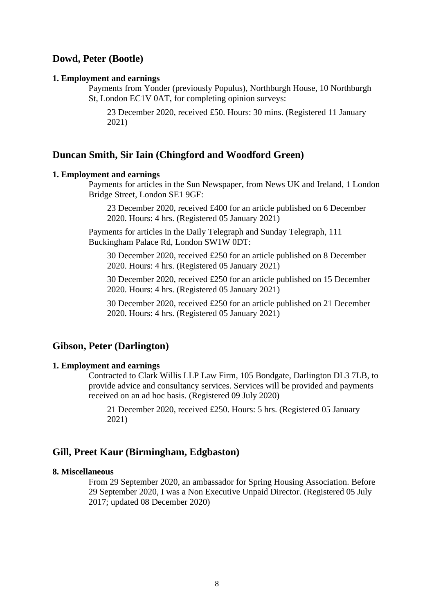### **Dowd, Peter (Bootle)**

#### **1. Employment and earnings**

Payments from Yonder (previously Populus), Northburgh House, 10 Northburgh St, London EC1V 0AT, for completing opinion surveys:

23 December 2020, received £50. Hours: 30 mins. (Registered 11 January 2021)

### **Duncan Smith, Sir Iain (Chingford and Woodford Green)**

#### **1. Employment and earnings**

Payments for articles in the Sun Newspaper, from News UK and Ireland, 1 London Bridge Street, London SE1 9GF:

23 December 2020, received £400 for an article published on 6 December 2020. Hours: 4 hrs. (Registered 05 January 2021)

Payments for articles in the Daily Telegraph and Sunday Telegraph, 111 Buckingham Palace Rd, London SW1W 0DT:

30 December 2020, received £250 for an article published on 8 December 2020. Hours: 4 hrs. (Registered 05 January 2021)

30 December 2020, received £250 for an article published on 15 December 2020. Hours: 4 hrs. (Registered 05 January 2021)

30 December 2020, received £250 for an article published on 21 December 2020. Hours: 4 hrs. (Registered 05 January 2021)

### **Gibson, Peter (Darlington)**

#### **1. Employment and earnings**

Contracted to Clark Willis LLP Law Firm, 105 Bondgate, Darlington DL3 7LB, to provide advice and consultancy services. Services will be provided and payments received on an ad hoc basis. (Registered 09 July 2020)

21 December 2020, received £250. Hours: 5 hrs. (Registered 05 January 2021)

# **Gill, Preet Kaur (Birmingham, Edgbaston)**

### **8. Miscellaneous**

From 29 September 2020, an ambassador for Spring Housing Association. Before 29 September 2020, I was a Non Executive Unpaid Director. (Registered 05 July 2017; updated 08 December 2020)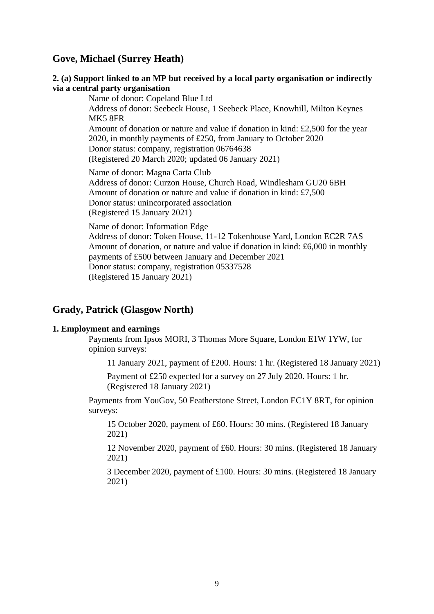# **Gove, Michael (Surrey Heath)**

### **2. (a) Support linked to an MP but received by a local party organisation or indirectly via a central party organisation**

Name of donor: Copeland Blue Ltd Address of donor: Seebeck House, 1 Seebeck Place, Knowhill, Milton Keynes MK5 8FR Amount of donation or nature and value if donation in kind: £2,500 for the year 2020, in monthly payments of £250, from January to October 2020 Donor status: company, registration 06764638 (Registered 20 March 2020; updated 06 January 2021) Name of donor: Magna Carta Club Address of donor: Curzon House, Church Road, Windlesham GU20 6BH

Amount of donation or nature and value if donation in kind: £7,500 Donor status: unincorporated association (Registered 15 January 2021)

Name of donor: Information Edge Address of donor: Token House, 11-12 Tokenhouse Yard, London EC2R 7AS Amount of donation, or nature and value if donation in kind: £6,000 in monthly payments of £500 between January and December 2021 Donor status: company, registration 05337528 (Registered 15 January 2021)

# **Grady, Patrick (Glasgow North)**

#### **1. Employment and earnings**

Payments from Ipsos MORI, 3 Thomas More Square, London E1W 1YW, for opinion surveys:

11 January 2021, payment of £200. Hours: 1 hr. (Registered 18 January 2021)

Payment of £250 expected for a survey on 27 July 2020. Hours: 1 hr. (Registered 18 January 2021)

Payments from YouGov, 50 Featherstone Street, London EC1Y 8RT, for opinion surveys:

15 October 2020, payment of £60. Hours: 30 mins. (Registered 18 January 2021)

12 November 2020, payment of £60. Hours: 30 mins. (Registered 18 January 2021)

3 December 2020, payment of £100. Hours: 30 mins. (Registered 18 January 2021)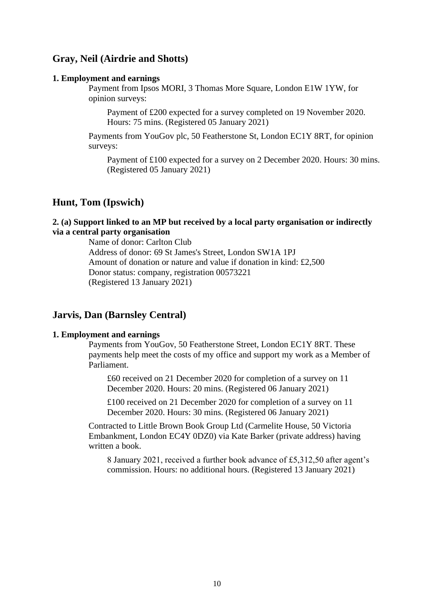# **Gray, Neil (Airdrie and Shotts)**

#### **1. Employment and earnings**

Payment from Ipsos MORI, 3 Thomas More Square, London E1W 1YW, for opinion surveys:

Payment of £200 expected for a survey completed on 19 November 2020. Hours: 75 mins. (Registered 05 January 2021)

Payments from YouGov plc, 50 Featherstone St, London EC1Y 8RT, for opinion surveys:

Payment of £100 expected for a survey on 2 December 2020. Hours: 30 mins. (Registered 05 January 2021)

## **Hunt, Tom (Ipswich)**

### **2. (a) Support linked to an MP but received by a local party organisation or indirectly via a central party organisation**

Name of donor: Carlton Club Address of donor: 69 St James's Street, London SW1A 1PJ Amount of donation or nature and value if donation in kind: £2,500 Donor status: company, registration 00573221 (Registered 13 January 2021)

### **Jarvis, Dan (Barnsley Central)**

### **1. Employment and earnings**

Payments from YouGov, 50 Featherstone Street, London EC1Y 8RT. These payments help meet the costs of my office and support my work as a Member of Parliament.

£60 received on 21 December 2020 for completion of a survey on 11 December 2020. Hours: 20 mins. (Registered 06 January 2021)

£100 received on 21 December 2020 for completion of a survey on 11 December 2020. Hours: 30 mins. (Registered 06 January 2021)

Contracted to Little Brown Book Group Ltd (Carmelite House, 50 Victoria Embankment, London EC4Y 0DZ0) via Kate Barker (private address) having written a book.

8 January 2021, received a further book advance of £5,312,50 after agent's commission. Hours: no additional hours. (Registered 13 January 2021)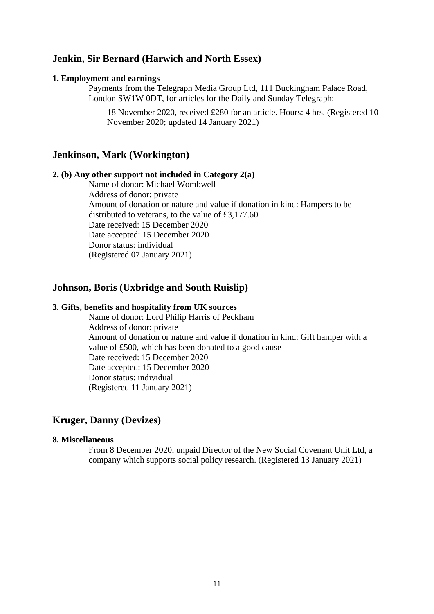# **Jenkin, Sir Bernard (Harwich and North Essex)**

#### **1. Employment and earnings**

Payments from the Telegraph Media Group Ltd, 111 Buckingham Palace Road, London SW1W 0DT, for articles for the Daily and Sunday Telegraph:

18 November 2020, received £280 for an article. Hours: 4 hrs. (Registered 10 November 2020; updated 14 January 2021)

### **Jenkinson, Mark (Workington)**

#### **2. (b) Any other support not included in Category 2(a)**

Name of donor: Michael Wombwell Address of donor: private Amount of donation or nature and value if donation in kind: Hampers to be distributed to veterans, to the value of £3,177.60 Date received: 15 December 2020 Date accepted: 15 December 2020 Donor status: individual (Registered 07 January 2021)

# **Johnson, Boris (Uxbridge and South Ruislip)**

### **3. Gifts, benefits and hospitality from UK sources**

Name of donor: Lord Philip Harris of Peckham Address of donor: private Amount of donation or nature and value if donation in kind: Gift hamper with a value of £500, which has been donated to a good cause Date received: 15 December 2020 Date accepted: 15 December 2020 Donor status: individual (Registered 11 January 2021)

# **Kruger, Danny (Devizes)**

### **8. Miscellaneous**

From 8 December 2020, unpaid Director of the New Social Covenant Unit Ltd, a company which supports social policy research. (Registered 13 January 2021)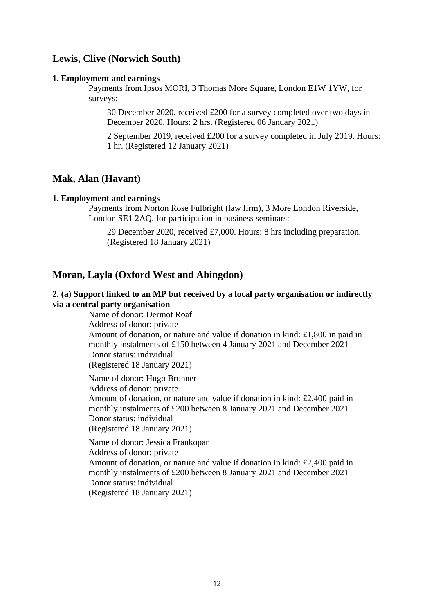# **Lewis, Clive (Norwich South)**

#### **1. Employment and earnings**

Payments from Ipsos MORI, 3 Thomas More Square, London E1W 1YW, for surveys:

30 December 2020, received £200 for a survey completed over two days in December 2020. Hours: 2 hrs. (Registered 06 January 2021)

2 September 2019, received £200 for a survey completed in July 2019. Hours: 1 hr. (Registered 12 January 2021)

## **Mak, Alan (Havant)**

#### **1. Employment and earnings**

Payments from Norton Rose Fulbright (law firm), 3 More London Riverside, London SE1 2AQ, for participation in business seminars:

29 December 2020, received £7,000. Hours: 8 hrs including preparation. (Registered 18 January 2021)

### **Moran, Layla (Oxford West and Abingdon)**

# **2. (a) Support linked to an MP but received by a local party organisation or indirectly via a central party organisation**

Name of donor: Dermot Roaf Address of donor: private Amount of donation, or nature and value if donation in kind: £1,800 in paid in monthly instalments of £150 between 4 January 2021 and December 2021 Donor status: individual (Registered 18 January 2021)

Name of donor: Hugo Brunner Address of donor: private Amount of donation, or nature and value if donation in kind: £2,400 paid in monthly instalments of £200 between 8 January 2021 and December 2021 Donor status: individual (Registered 18 January 2021)

Name of donor: Jessica Frankopan Address of donor: private Amount of donation, or nature and value if donation in kind: £2,400 paid in monthly instalments of £200 between 8 January 2021 and December 2021 Donor status: individual (Registered 18 January 2021)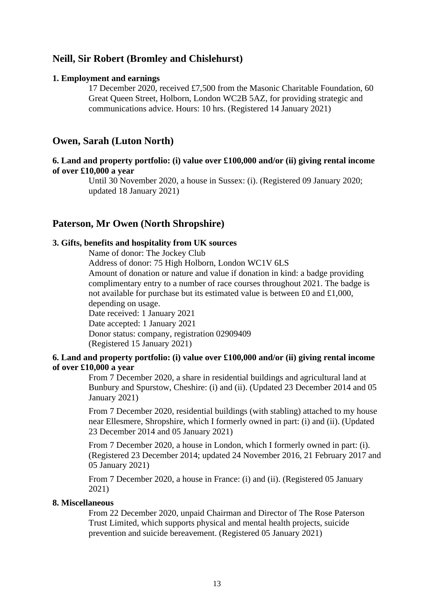# **Neill, Sir Robert (Bromley and Chislehurst)**

#### **1. Employment and earnings**

17 December 2020, received £7,500 from the Masonic Charitable Foundation, 60 Great Queen Street, Holborn, London WC2B 5AZ, for providing strategic and communications advice. Hours: 10 hrs. (Registered 14 January 2021)

# **Owen, Sarah (Luton North)**

### **6. Land and property portfolio: (i) value over £100,000 and/or (ii) giving rental income of over £10,000 a year**

Until 30 November 2020, a house in Sussex: (i). (Registered 09 January 2020; updated 18 January 2021)

# **Paterson, Mr Owen (North Shropshire)**

### **3. Gifts, benefits and hospitality from UK sources**

Name of donor: The Jockey Club

Address of donor: 75 High Holborn, London WC1V 6LS Amount of donation or nature and value if donation in kind: a badge providing complimentary entry to a number of race courses throughout 2021. The badge is not available for purchase but its estimated value is between £0 and £1,000, depending on usage. Date received: 1 January 2021

Date accepted: 1 January 2021 Donor status: company, registration 02909409 (Registered 15 January 2021)

### **6. Land and property portfolio: (i) value over £100,000 and/or (ii) giving rental income of over £10,000 a year**

From 7 December 2020, a share in residential buildings and agricultural land at Bunbury and Spurstow, Cheshire: (i) and (ii). (Updated 23 December 2014 and 05 January 2021)

From 7 December 2020, residential buildings (with stabling) attached to my house near Ellesmere, Shropshire, which I formerly owned in part: (i) and (ii). (Updated 23 December 2014 and 05 January 2021)

From 7 December 2020, a house in London, which I formerly owned in part: (i). (Registered 23 December 2014; updated 24 November 2016, 21 February 2017 and 05 January 2021)

From 7 December 2020, a house in France: (i) and (ii). (Registered 05 January 2021)

#### **8. Miscellaneous**

From 22 December 2020, unpaid Chairman and Director of The Rose Paterson Trust Limited, which supports physical and mental health projects, suicide prevention and suicide bereavement. (Registered 05 January 2021)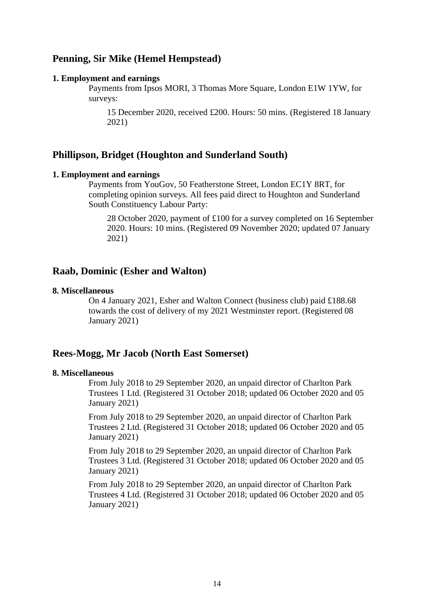# **Penning, Sir Mike (Hemel Hempstead)**

#### **1. Employment and earnings**

Payments from Ipsos MORI, 3 Thomas More Square, London E1W 1YW, for surveys:

15 December 2020, received £200. Hours: 50 mins. (Registered 18 January 2021)

### **Phillipson, Bridget (Houghton and Sunderland South)**

#### **1. Employment and earnings**

Payments from YouGov, 50 Featherstone Street, London EC1Y 8RT, for completing opinion surveys. All fees paid direct to Houghton and Sunderland South Constituency Labour Party:

28 October 2020, payment of £100 for a survey completed on 16 September 2020. Hours: 10 mins. (Registered 09 November 2020; updated 07 January 2021)

# **Raab, Dominic (Esher and Walton)**

#### **8. Miscellaneous**

On 4 January 2021, Esher and Walton Connect (business club) paid £188.68 towards the cost of delivery of my 2021 Westminster report. (Registered 08 January 2021)

### **Rees-Mogg, Mr Jacob (North East Somerset)**

### **8. Miscellaneous**

From July 2018 to 29 September 2020, an unpaid director of Charlton Park Trustees 1 Ltd. (Registered 31 October 2018; updated 06 October 2020 and 05 January 2021)

From July 2018 to 29 September 2020, an unpaid director of Charlton Park Trustees 2 Ltd. (Registered 31 October 2018; updated 06 October 2020 and 05 January 2021)

From July 2018 to 29 September 2020, an unpaid director of Charlton Park Trustees 3 Ltd. (Registered 31 October 2018; updated 06 October 2020 and 05 January 2021)

From July 2018 to 29 September 2020, an unpaid director of Charlton Park Trustees 4 Ltd. (Registered 31 October 2018; updated 06 October 2020 and 05 January 2021)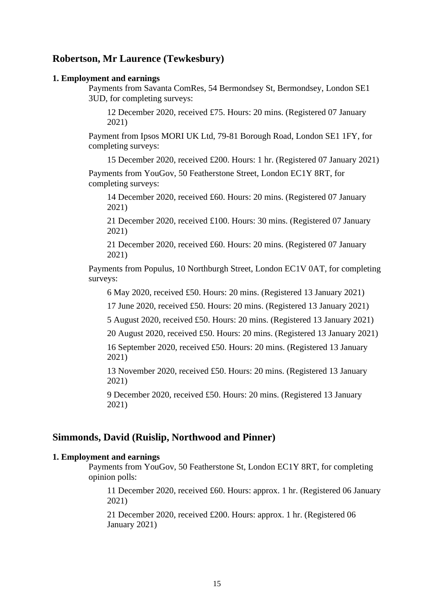# **Robertson, Mr Laurence (Tewkesbury)**

#### **1. Employment and earnings**

Payments from Savanta ComRes, 54 Bermondsey St, Bermondsey, London SE1 3UD, for completing surveys:

12 December 2020, received £75. Hours: 20 mins. (Registered 07 January 2021)

Payment from Ipsos MORI UK Ltd, 79-81 Borough Road, London SE1 1FY, for completing surveys:

15 December 2020, received £200. Hours: 1 hr. (Registered 07 January 2021)

Payments from YouGov, 50 Featherstone Street, London EC1Y 8RT, for completing surveys:

14 December 2020, received £60. Hours: 20 mins. (Registered 07 January 2021)

21 December 2020, received £100. Hours: 30 mins. (Registered 07 January 2021)

21 December 2020, received £60. Hours: 20 mins. (Registered 07 January 2021)

Payments from Populus, 10 Northburgh Street, London EC1V 0AT, for completing surveys:

6 May 2020, received £50. Hours: 20 mins. (Registered 13 January 2021)

17 June 2020, received £50. Hours: 20 mins. (Registered 13 January 2021)

5 August 2020, received £50. Hours: 20 mins. (Registered 13 January 2021)

20 August 2020, received £50. Hours: 20 mins. (Registered 13 January 2021)

16 September 2020, received £50. Hours: 20 mins. (Registered 13 January 2021)

13 November 2020, received £50. Hours: 20 mins. (Registered 13 January 2021)

9 December 2020, received £50. Hours: 20 mins. (Registered 13 January 2021)

### **Simmonds, David (Ruislip, Northwood and Pinner)**

### **1. Employment and earnings**

Payments from YouGov, 50 Featherstone St, London EC1Y 8RT, for completing opinion polls:

11 December 2020, received £60. Hours: approx. 1 hr. (Registered 06 January 2021)

21 December 2020, received £200. Hours: approx. 1 hr. (Registered 06 January 2021)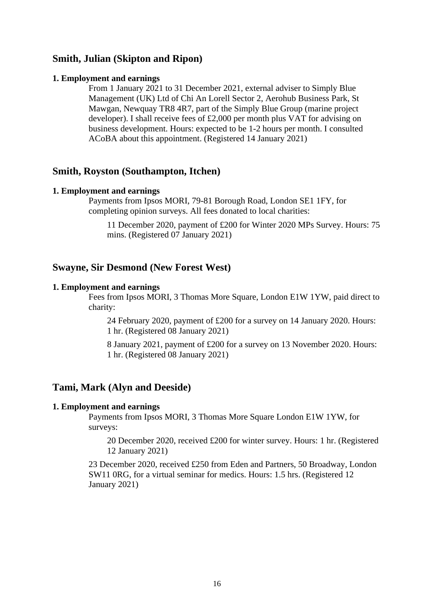# **Smith, Julian (Skipton and Ripon)**

### **1. Employment and earnings**

From 1 January 2021 to 31 December 2021, external adviser to Simply Blue Management (UK) Ltd of Chi An Lorell Sector 2, Aerohub Business Park, St Mawgan, Newquay TR8 4R7, part of the Simply Blue Group (marine project developer). I shall receive fees of £2,000 per month plus VAT for advising on business development. Hours: expected to be 1-2 hours per month. I consulted ACoBA about this appointment. (Registered 14 January 2021)

## **Smith, Royston (Southampton, Itchen)**

### **1. Employment and earnings**

Payments from Ipsos MORI, 79-81 Borough Road, London SE1 1FY, for completing opinion surveys. All fees donated to local charities:

11 December 2020, payment of £200 for Winter 2020 MPs Survey. Hours: 75 mins. (Registered 07 January 2021)

# **Swayne, Sir Desmond (New Forest West)**

#### **1. Employment and earnings**

Fees from Ipsos MORI, 3 Thomas More Square, London E1W 1YW, paid direct to charity:

24 February 2020, payment of £200 for a survey on 14 January 2020. Hours: 1 hr. (Registered 08 January 2021)

8 January 2021, payment of £200 for a survey on 13 November 2020. Hours: 1 hr. (Registered 08 January 2021)

# **Tami, Mark (Alyn and Deeside)**

#### **1. Employment and earnings**

Payments from Ipsos MORI, 3 Thomas More Square London E1W 1YW, for surveys:

20 December 2020, received £200 for winter survey. Hours: 1 hr. (Registered 12 January 2021)

23 December 2020, received £250 from Eden and Partners, 50 Broadway, London SW11 0RG, for a virtual seminar for medics. Hours: 1.5 hrs. (Registered 12 January 2021)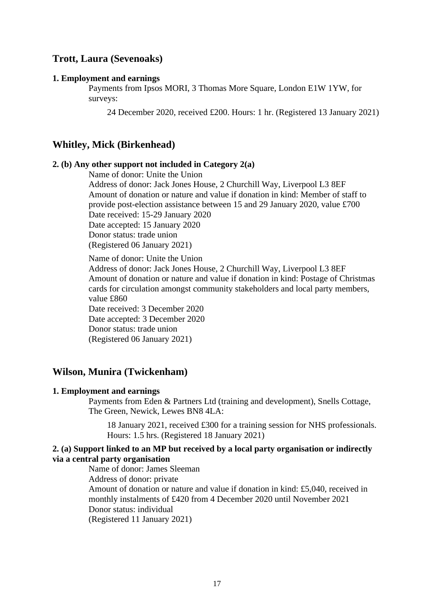# **Trott, Laura (Sevenoaks)**

#### **1. Employment and earnings**

Payments from Ipsos MORI, 3 Thomas More Square, London E1W 1YW, for surveys:

24 December 2020, received £200. Hours: 1 hr. (Registered 13 January 2021)

### **Whitley, Mick (Birkenhead)**

### **2. (b) Any other support not included in Category 2(a)**

Name of donor: Unite the Union

Address of donor: Jack Jones House, 2 Churchill Way, Liverpool L3 8EF Amount of donation or nature and value if donation in kind: Member of staff to provide post-election assistance between 15 and 29 January 2020, value £700 Date received: 15-29 January 2020 Date accepted: 15 January 2020

Donor status: trade union

(Registered 06 January 2021)

Name of donor: Unite the Union

Address of donor: Jack Jones House, 2 Churchill Way, Liverpool L3 8EF Amount of donation or nature and value if donation in kind: Postage of Christmas cards for circulation amongst community stakeholders and local party members, value £860

Date received: 3 December 2020 Date accepted: 3 December 2020 Donor status: trade union (Registered 06 January 2021)

### **Wilson, Munira (Twickenham)**

#### **1. Employment and earnings**

Payments from Eden & Partners Ltd (training and development), Snells Cottage, The Green, Newick, Lewes BN8 4LA:

18 January 2021, received £300 for a training session for NHS professionals. Hours: 1.5 hrs. (Registered 18 January 2021)

### **2. (a) Support linked to an MP but received by a local party organisation or indirectly via a central party organisation**

Name of donor: James Sleeman Address of donor: private Amount of donation or nature and value if donation in kind: £5,040, received in monthly instalments of £420 from 4 December 2020 until November 2021 Donor status: individual (Registered 11 January 2021)